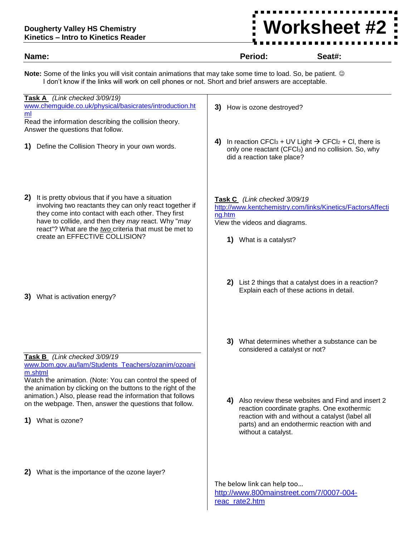## **Dougherty Valley HS Chemistry Kinetics – Intro to Kinetics Reader**

# <u>:Worksheet #2:</u><br>-…………… 1 **a** y . 5

| Name:                                                                                                                                                                                                                                                                                                                     | Period:                                                                                           | Seat#:                                                                                                                                                                                           |  |  |  |  |
|---------------------------------------------------------------------------------------------------------------------------------------------------------------------------------------------------------------------------------------------------------------------------------------------------------------------------|---------------------------------------------------------------------------------------------------|--------------------------------------------------------------------------------------------------------------------------------------------------------------------------------------------------|--|--|--|--|
| Note: Some of the links you will visit contain animations that may take some time to load. So, be patient. ©<br>I don't know if the links will work on cell phones or not. Short and brief answers are acceptable.                                                                                                        |                                                                                                   |                                                                                                                                                                                                  |  |  |  |  |
| Task A (Link checked 3/09/19)<br>www.chemguide.co.uk/physical/basicrates/introduction.ht<br>ml<br>Read the information describing the collision theory.<br>Answer the questions that follow.                                                                                                                              | 3) How is ozone destroyed?                                                                        |                                                                                                                                                                                                  |  |  |  |  |
| Define the Collision Theory in your own words.                                                                                                                                                                                                                                                                            | 4)<br>did a reaction take place?                                                                  | In reaction CFCI <sub>3</sub> + UV Light $\rightarrow$ CFCI <sub>2</sub> + CI, there is<br>only one reactant (CFCI <sub>3</sub> ) and no collision. So, why                                      |  |  |  |  |
| It is pretty obvious that if you have a situation<br>2)<br>involving two reactants they can only react together if<br>they come into contact with each other. They first<br>have to collide, and then they may react. Why "may<br>react"? What are the two criteria that must be met to<br>create an EFFECTIVE COLLISION? | Task C (Link checked 3/09/19<br>ng.htm<br>View the videos and diagrams.<br>1) What is a catalyst? | http://www.kentchemistry.com/links/Kinetics/FactorsAffecti                                                                                                                                       |  |  |  |  |
| What is activation energy?<br>3)                                                                                                                                                                                                                                                                                          | Explain each of these actions in detail.                                                          | 2) List 2 things that a catalyst does in a reaction?                                                                                                                                             |  |  |  |  |
| Task B (Link checked 3/09/19<br>www.bom.gov.au/lam/Students_Teachers/ozanim/ozoani<br>m.shtml<br>Watch the animation. (Note: You can control the speed of                                                                                                                                                                 | considered a catalyst or not?                                                                     | 3) What determines whether a substance can be                                                                                                                                                    |  |  |  |  |
| the animation by clicking on the buttons to the right of the<br>animation.) Also, please read the information that follows<br>on the webpage. Then, answer the questions that follow.<br>What is ozone?<br>1)                                                                                                             | 4)<br>without a catalyst.                                                                         | Also review these websites and Find and insert 2<br>reaction coordinate graphs. One exothermic<br>reaction with and without a catalyst (label all<br>parts) and an endothermic reaction with and |  |  |  |  |
| What is the importance of the ozone layer?<br>2)                                                                                                                                                                                                                                                                          | The below link can help too<br>http://www.800mainstreet.com/7/0007-004-<br>reac_rate2.htm         |                                                                                                                                                                                                  |  |  |  |  |